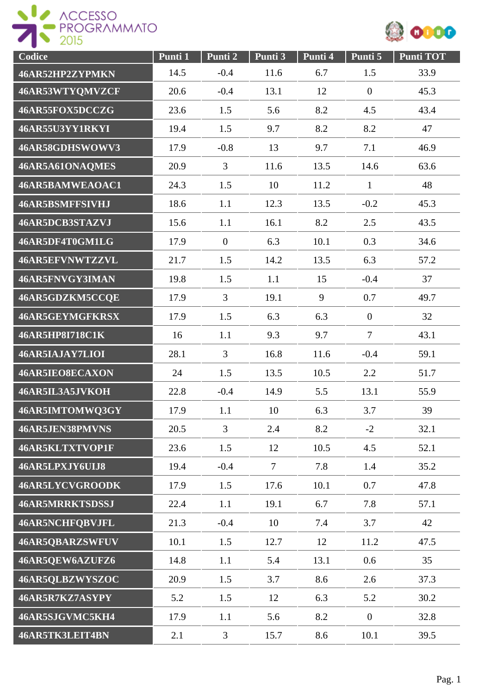



| <b>Codice</b>          | Punti 1 | Punti 2        | Punti 3 | Punti 4 | Punti 5        | <b>Punti TOT</b> |
|------------------------|---------|----------------|---------|---------|----------------|------------------|
| 46AR52HP2ZYPMKN        | 14.5    | $-0.4$         | 11.6    | 6.7     | 1.5            | 33.9             |
| 46AR53WTYQMVZCF        | 20.6    | $-0.4$         | 13.1    | 12      | $\mathbf{0}$   | 45.3             |
| 46AR55FOX5DCCZG        | 23.6    | 1.5            | 5.6     | 8.2     | 4.5            | 43.4             |
| 46AR55U3YY1RKYI        | 19.4    | 1.5            | 9.7     | 8.2     | 8.2            | 47               |
| 46AR58GDHSWOWV3        | 17.9    | $-0.8$         | 13      | 9.7     | 7.1            | 46.9             |
| 46AR5A61ONAQMES        | 20.9    | 3              | 11.6    | 13.5    | 14.6           | 63.6             |
| 46AR5BAMWEAOAC1        | 24.3    | 1.5            | 10      | 11.2    | $\mathbf{1}$   | 48               |
| 46AR5BSMFFSIVHJ        | 18.6    | 1.1            | 12.3    | 13.5    | $-0.2$         | 45.3             |
| 46AR5DCB3STAZVJ        | 15.6    | 1.1            | 16.1    | 8.2     | 2.5            | 43.5             |
| 46AR5DF4T0GM1LG        | 17.9    | $\overline{0}$ | 6.3     | 10.1    | 0.3            | 34.6             |
| 46AR5EFVNWTZZVL        | 21.7    | 1.5            | 14.2    | 13.5    | 6.3            | 57.2             |
| 46AR5FNVGY3IMAN        | 19.8    | 1.5            | 1.1     | 15      | $-0.4$         | 37               |
| 46AR5GDZKM5CCQE        | 17.9    | 3              | 19.1    | 9       | 0.7            | 49.7             |
| 46AR5GEYMGFKRSX        | 17.9    | 1.5            | 6.3     | 6.3     | $\mathbf{0}$   | 32               |
| 46AR5HP8I718C1K        | 16      | 1.1            | 9.3     | 9.7     | $\overline{7}$ | 43.1             |
| 46AR5IAJAY7LIOI        | 28.1    | $\overline{3}$ | 16.8    | 11.6    | $-0.4$         | 59.1             |
| 46AR5IEO8ECAXON        | 24      | 1.5            | 13.5    | 10.5    | 2.2            | 51.7             |
| 46AR5IL3A5JVKOH        | 22.8    | $-0.4$         | 14.9    | 5.5     | 13.1           | 55.9             |
| 46AR5IMTOMWQ3GY        | 17.9    | 1.1            | 10      | 6.3     | 3.7            | 39               |
| 46AR5JEN38PMVNS        | 20.5    | $\overline{3}$ | 2.4     | 8.2     | $-2$           | 32.1             |
| 46AR5KLTXTVOP1F        | 23.6    | 1.5            | 12      | 10.5    | 4.5            | 52.1             |
| 46AR5LPXJY6UIJ8        | 19.4    | $-0.4$         | $\tau$  | 7.8     | 1.4            | 35.2             |
| 46AR5LYCVGROODK        | 17.9    | 1.5            | 17.6    | 10.1    | 0.7            | 47.8             |
| <b>46AR5MRRKTSDSSJ</b> | 22.4    | 1.1            | 19.1    | 6.7     | 7.8            | 57.1             |
| 46AR5NCHFQBVJFL        | 21.3    | $-0.4$         | 10      | 7.4     | 3.7            | 42               |
| 46AR5QBARZSWFUV        | 10.1    | 1.5            | 12.7    | 12      | 11.2           | 47.5             |
| 46AR5QEW6AZUFZ6        | 14.8    | 1.1            | 5.4     | 13.1    | 0.6            | 35               |
| 46AR5QLBZWYSZOC        | 20.9    | 1.5            | 3.7     | 8.6     | 2.6            | 37.3             |
| 46AR5R7KZ7ASYPY        | 5.2     | 1.5            | 12      | 6.3     | 5.2            | 30.2             |
| 46AR5SJGVMC5KH4        | 17.9    | 1.1            | 5.6     | 8.2     | $\overline{0}$ | 32.8             |
| 46AR5TK3LEIT4BN        | 2.1     | $\overline{3}$ | 15.7    | 8.6     | 10.1           | 39.5             |